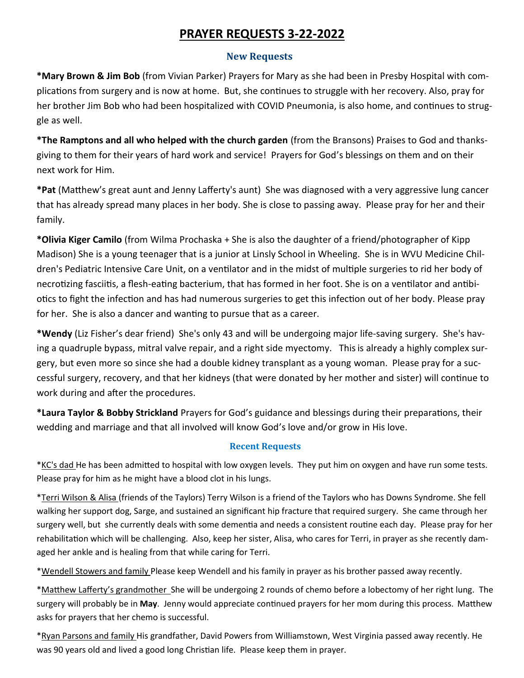# **PRAYER REQUESTS 3-22-2022**

# **New Requests**

**\*Mary Brown & Jim Bob** (from Vivian Parker) Prayers for Mary as she had been in Presby Hospital with complications from surgery and is now at home. But, she continues to struggle with her recovery. Also, pray for her brother Jim Bob who had been hospitalized with COVID Pneumonia, is also home, and continues to struggle as well.

**\*The Ramptons and all who helped with the church garden** (from the Bransons) Praises to God and thanksgiving to them for their years of hard work and service! Prayers for God's blessings on them and on their next work for Him.

**\*Pat** (Matthew's great aunt and Jenny Lafferty's aunt) She was diagnosed with a very aggressive lung cancer that has already spread many places in her body. She is close to passing away. Please pray for her and their family.

**\*Olivia Kiger Camilo** (from Wilma Prochaska + She is also the daughter of a friend/photographer of Kipp Madison) She is a young teenager that is a junior at Linsly School in Wheeling. She is in WVU Medicine Children's Pediatric Intensive Care Unit, on a ventilator and in the midst of multiple surgeries to rid her body of necrotizing fasciitis, a flesh-eating bacterium, that has formed in her foot. She is on a ventilator and antibiotics to fight the infection and has had numerous surgeries to get this infection out of her body. Please pray for her. She is also a dancer and wanting to pursue that as a career.

**\*Wendy** (Liz Fisher's dear friend) She's only 43 and will be undergoing major life-saving surgery. She's having a quadruple bypass, mitral valve repair, and a right side myectomy. Thisis already a highly complex surgery, but even more so since she had a double kidney transplant as a young woman. Please pray for a successful surgery, recovery, and that her kidneys (that were donated by her mother and sister) will continue to work during and after the procedures.

**\*Laura Taylor & Bobby Strickland** Prayers for God's guidance and blessings during their preparations, their wedding and marriage and that all involved will know God's love and/or grow in His love.

# **Recent Requests**

\*KC's dad He has been admitted to hospital with low oxygen levels. They put him on oxygen and have run some tests. Please pray for him as he might have a blood clot in his lungs.

\*Terri Wilson & Alisa (friends of the Taylors) Terry Wilson is a friend of the Taylors who has Downs Syndrome. She fell walking her support dog, Sarge, and sustained an significant hip fracture that required surgery. She came through her surgery well, but she currently deals with some dementia and needs a consistent routine each day. Please pray for her rehabilitation which will be challenging. Also, keep her sister, Alisa, who cares for Terri, in prayer as she recently damaged her ankle and is healing from that while caring for Terri.

\*Wendell Stowers and family Please keep Wendell and his family in prayer as his brother passed away recently.

\*Matthew Lafferty's grandmother She will be undergoing 2 rounds of chemo before a lobectomy of her right lung. The surgery will probably be in **May**. Jenny would appreciate continued prayers for her mom during this process. Matthew asks for prayers that her chemo is successful.

\*Ryan Parsons and family His grandfather, David Powers from Williamstown, West Virginia passed away recently. He was 90 years old and lived a good long Christian life. Please keep them in prayer.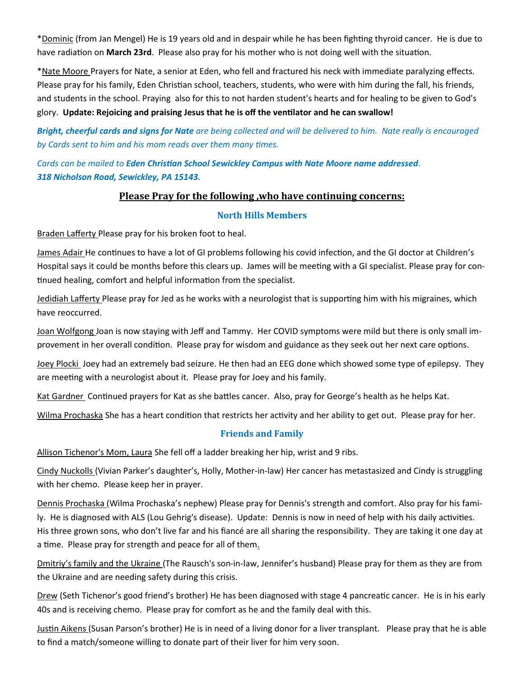\*Dominic (from Jan Mengel) He is 19 years old and in despair while he has been fighting thyroid cancer. He is due to have radiation on **March 23rd**. Please also pray for his mother who is not doing well with the situation.

\*Nate Moore Prayers for Nate, a senior at Eden, who fell and fractured his neck with immediate paralyzing effects. Please pray for his family, Eden Christian school, teachers, students, who were with him during the fall, his friends, and students in the school. Praying also for this to not harden student's hearts and for healing to be given to God's glory. **Update: Rejoicing and praising Jesus that he is off the ventilator and he can swallow!** 

*Bright, cheerful cards and signs for Nate are being collected and will be delivered to him. Nate really is encouraged by Cards sent to him and his mom reads over them many times.* 

*Cards can be mailed to Eden Christian School Sewickley Campus with Nate Moore name addressed. 318 Nicholson Road, Sewickley, PA 15143.* 

### **Please Pray for the following ,who have continuing concerns:**

#### **North Hills Members**

**Braden Lafferty Please pray for his broken foot to heal.** 

James Adair He continues to have a lot of GI problems following his covid infection, and the GI doctor at Children's Hospital says it could be months before this clears up. James will be meeting with a GI specialist. Please pray for continued healing, comfort and helpful information from the specialist.

Jedidiah Lafferty Please pray for Jed as he works with a neurologist that is supporting him with his migraines, which have reoccurred.

Joan Wolfgong Joan is now staying with Jeff and Tammy. Her COVID symptoms were mild but there is only small improvement in her overall condition. Please pray for wisdom and guidance as they seek out her next care options.

Joey Plocki Joey had an extremely bad seizure. He then had an EEG done which showed some type of epilepsy. They are meeting with a neurologist about it. Please pray for Joey and his family.

Kat Gardner Continued prayers for Kat as she battles cancer. Also, pray for George's health as he helps Kat.

Wilma Prochaska She has a heart condition that restricts her activity and her ability to get out. Please pray for her.

#### **Friends and Family**

Allison Tichenor's Mom, Laura She fell off a ladder breaking her hip, wrist and 9 ribs.

Cindy Nuckolls (Vivian Parker's daughter's, Holly, Mother-in-law) Her cancer has metastasized and Cindy is struggling with her chemo. Please keep her in prayer.

Dennis Prochaska (Wilma Prochaska's nephew) Please pray for Dennis's strength and comfort. Also pray for his family. He is diagnosed with ALS (Lou Gehrig's disease). Update: Dennis is now in need of help with his daily activities. His three grown sons, who don't live far and his fiancé are all sharing the responsibility. They are taking it one day at a time. Please pray for strength and peace for all of them.

Dmitriy's family and the Ukraine (The Rausch's son-in-law, Jennifer's husband) Please pray for them as they are from the Ukraine and are needing safety during this crisis.

Drew (Seth Tichenor's good friend's brother) He has been diagnosed with stage 4 pancreatic cancer. He is in his early 40s and is receiving chemo. Please pray for comfort as he and the family deal with this.

Justin Aikens (Susan Parson's brother) He is in need of a living donor for a liver transplant. Please pray that he is able to find a match/someone willing to donate part of their liver for him very soon.